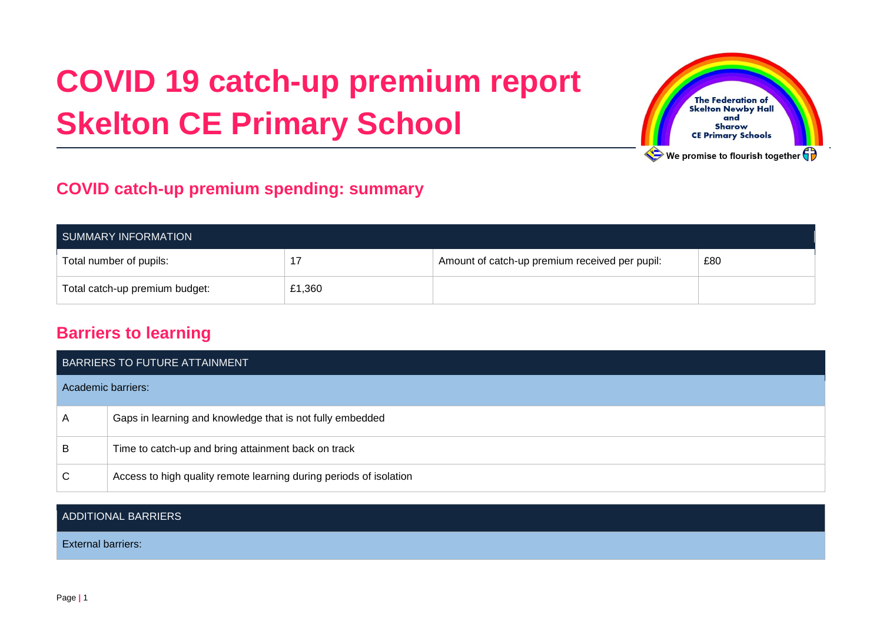# **COVID 19 catch-up premium report Skelton CE Primary School**



## **COVID catch-up premium spending: summary**

| SUMMARY INFORMATION            |        |                                                |     |  |
|--------------------------------|--------|------------------------------------------------|-----|--|
| Total number of pupils:        |        | Amount of catch-up premium received per pupil: | £80 |  |
| Total catch-up premium budget: | £1,360 |                                                |     |  |

### **Barriers to learning**

|                    | BARRIERS TO FUTURE ATTAINMENT                                      |  |
|--------------------|--------------------------------------------------------------------|--|
| Academic barriers: |                                                                    |  |
| A                  | Gaps in learning and knowledge that is not fully embedded          |  |
| B                  | Time to catch-up and bring attainment back on track                |  |
| C                  | Access to high quality remote learning during periods of isolation |  |

#### ADDITIONAL BARRIERS

External barriers: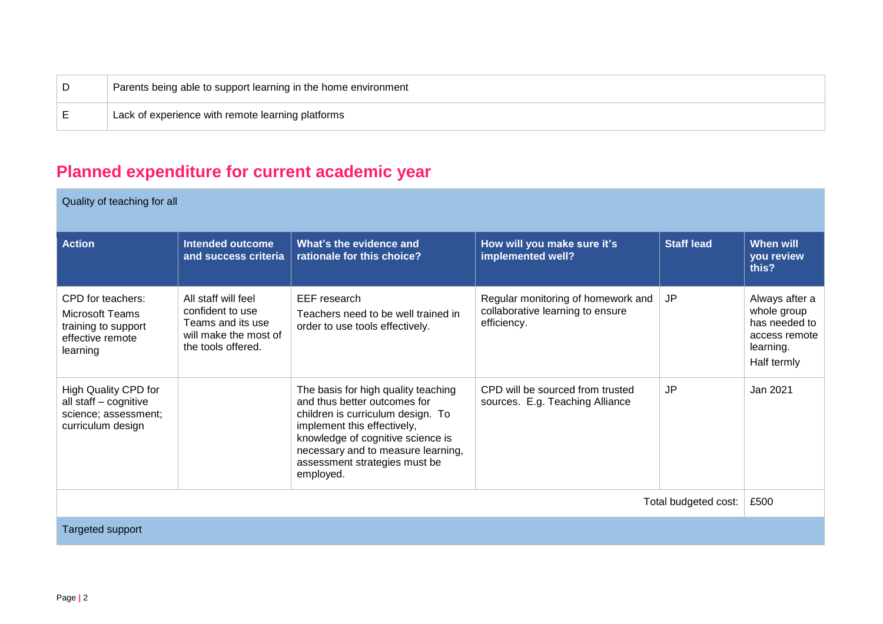| Parents being able to support learning in the home environment |
|----------------------------------------------------------------|
| Lack of experience with remote learning platforms              |

# **Planned expenditure for current academic year**

Quality of teaching for all

| <b>Action</b>                                                                                      | <b>Intended outcome</b><br>and success criteria                                                             | What's the evidence and<br>rationale for this choice?                                                                                                                                                                                                            | How will you make sure it's<br>implemented well?                                      | <b>Staff lead</b> | <b>When will</b><br>you review<br>this?                                                     |
|----------------------------------------------------------------------------------------------------|-------------------------------------------------------------------------------------------------------------|------------------------------------------------------------------------------------------------------------------------------------------------------------------------------------------------------------------------------------------------------------------|---------------------------------------------------------------------------------------|-------------------|---------------------------------------------------------------------------------------------|
| CPD for teachers:<br><b>Microsoft Teams</b><br>training to support<br>effective remote<br>learning | All staff will feel<br>confident to use<br>Teams and its use<br>will make the most of<br>the tools offered. | EEF research<br>Teachers need to be well trained in<br>order to use tools effectively.                                                                                                                                                                           | Regular monitoring of homework and<br>collaborative learning to ensure<br>efficiency. | JP                | Always after a<br>whole group<br>has needed to<br>access remote<br>learning.<br>Half termly |
| High Quality CPD for<br>all staff - cognitive<br>science; assessment;<br>curriculum design         |                                                                                                             | The basis for high quality teaching<br>and thus better outcomes for<br>children is curriculum design. To<br>implement this effectively,<br>knowledge of cognitive science is<br>necessary and to measure learning,<br>assessment strategies must be<br>employed. | CPD will be sourced from trusted<br>sources. E.g. Teaching Alliance                   | JP                | Jan 2021                                                                                    |
| Total budgeted cost:                                                                               |                                                                                                             |                                                                                                                                                                                                                                                                  |                                                                                       | £500              |                                                                                             |
| <b>Targeted support</b>                                                                            |                                                                                                             |                                                                                                                                                                                                                                                                  |                                                                                       |                   |                                                                                             |